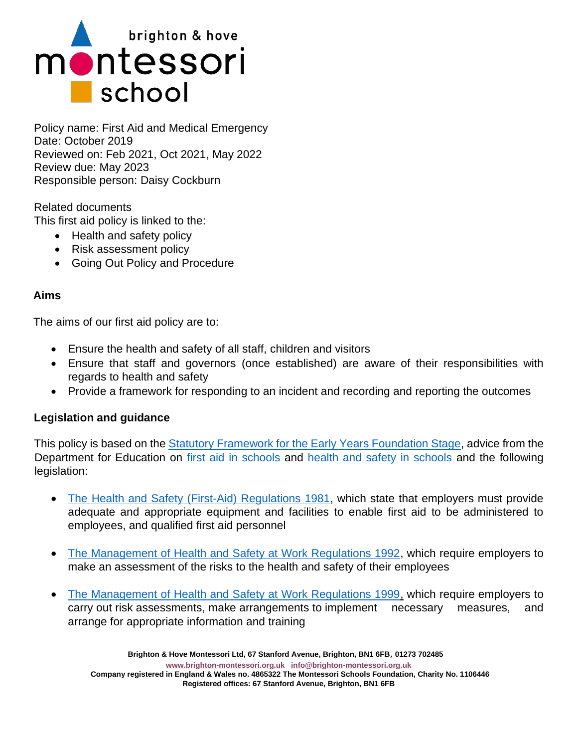

Policy name: First Aid and Medical Emergency Date: October 2019 Reviewed on: Feb 2021, Oct 2021, May 2022 Review due: May 2023 Responsible person: Daisy Cockburn

Related documents This first aid policy is linked to the:

- Health and safety policy
- Risk assessment policy
- Going Out Policy and Procedure

### **Aims**

The aims of our first aid policy are to:

- Ensure the health and safety of all staff, children and visitors
- Ensure that staff and governors (once established) are aware of their responsibilities with regards to health and safety
- Provide a framework for responding to an incident and recording and reporting the outcomes

#### **Legislation and guidance**

This policy is based on the [Statutory Framework for the Early Years Foundation Stage,](https://www.gov.uk/government/publications/early-years-foundation-stage-framework--2) advice from the Department for Education on [first aid in schools](https://www.gov.uk/government/publications/first-aid-in-schools) and [health and safety in schools](https://www.gov.uk/government/publications/health-and-safety-advice-for-schools) and the following legislation:

- [The Health and Safety \(First-Aid\) Regulations 1981,](http://www.legislation.gov.uk/uksi/1981/917/regulation/3/made) which state that employers must provide adequate and appropriate equipment and facilities to enable first aid to be administered to employees, and qualified first aid personnel
- [The Management of Health and Safety at Work Regulations 1992,](http://www.legislation.gov.uk/uksi/1992/2051/regulation/3/made) which require employers to make an assessment of the risks to the health and safety of their employees
- [The Management of Health and Safety at Work Regulations 1999,](http://www.legislation.gov.uk/uksi/1999/3242/contents/made) which require employers to carry out risk assessments, make arrangements to implement necessary measures, and arrange for appropriate information and training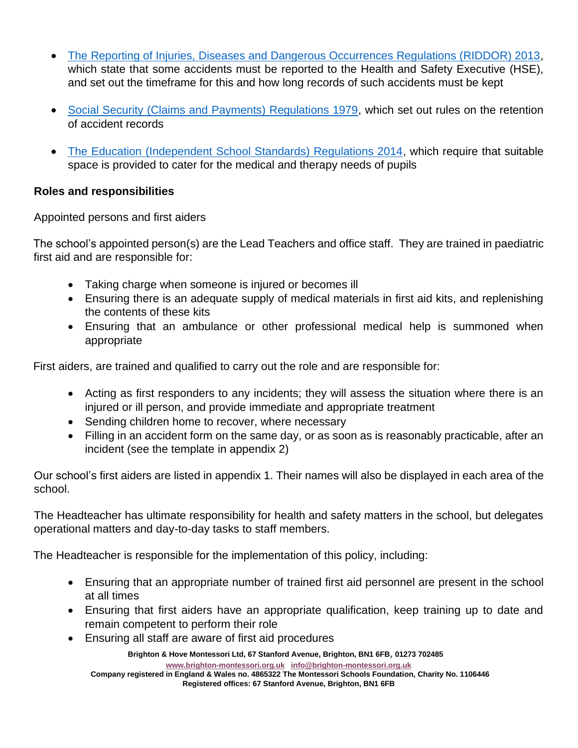- [The Reporting of Injuries, Diseases and Dangerous Occurrences Regulations \(RIDDOR\) 2013,](http://www.legislation.gov.uk/uksi/2013/1471/schedule/1/paragraph/1/made) which state that some accidents must be reported to the Health and Safety Executive (HSE), and set out the timeframe for this and how long records of such accidents must be kept
- [Social Security \(Claims and Payments\) Regulations 1979,](http://www.legislation.gov.uk/uksi/1979/628) which set out rules on the retention of accident records
- [The Education \(Independent School Standards\) Regulations 2014,](http://www.legislation.gov.uk/uksi/2014/3283/schedule/made) which require that suitable space is provided to cater for the medical and therapy needs of pupils

## **Roles and responsibilities**

Appointed persons and first aiders

The school's appointed person(s) are the Lead Teachers and office staff. They are trained in paediatric first aid and are responsible for:

- Taking charge when someone is injured or becomes ill
- Ensuring there is an adequate supply of medical materials in first aid kits, and replenishing the contents of these kits
- Ensuring that an ambulance or other professional medical help is summoned when appropriate

First aiders, are trained and qualified to carry out the role and are responsible for:

- Acting as first responders to any incidents; they will assess the situation where there is an injured or ill person, and provide immediate and appropriate treatment
- Sending children home to recover, where necessary
- Filling in an accident form on the same day, or as soon as is reasonably practicable, after an incident (see the template in appendix 2)

Our school's first aiders are listed in appendix 1. Their names will also be displayed in each area of the school.

The Headteacher has ultimate responsibility for health and safety matters in the school, but delegates operational matters and day-to-day tasks to staff members.

The Headteacher is responsible for the implementation of this policy, including:

- Ensuring that an appropriate number of trained first aid personnel are present in the school at all times
- Ensuring that first aiders have an appropriate qualification, keep training up to date and remain competent to perform their role
- Ensuring all staff are aware of first aid procedures

**Brighton & Hove Montessori Ltd, 67 Stanford Avenue, Brighton, BN1 6FB**, **01273 702485**

**[www.brighton-montessori.org.uk](http://www.brighton-montessori.org.uk/) [info@brighton-montessori.org.uk](mailto:info@brighton-montessori.org.uk)**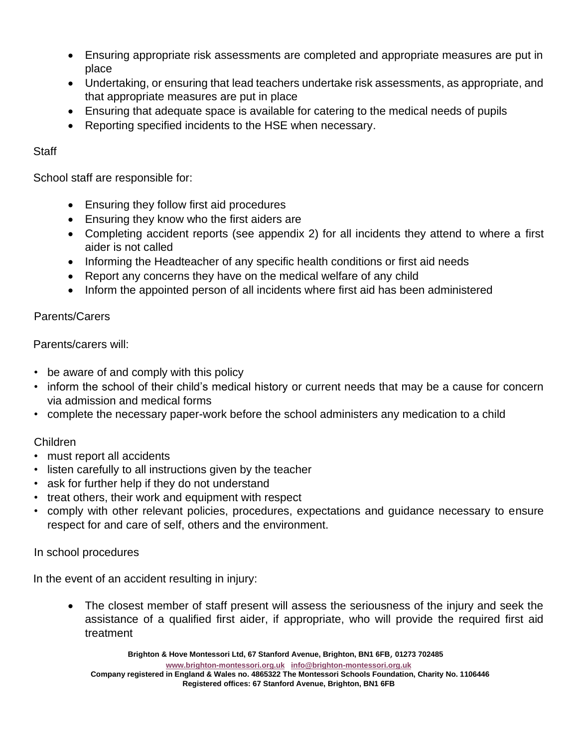- Ensuring appropriate risk assessments are completed and appropriate measures are put in place
- Undertaking, or ensuring that lead teachers undertake risk assessments, as appropriate, and that appropriate measures are put in place
- Ensuring that adequate space is available for catering to the medical needs of pupils
- Reporting specified incidents to the HSE when necessary.

# **Staff**

School staff are responsible for:

- Ensuring they follow first aid procedures
- Ensuring they know who the first aiders are
- Completing accident reports (see appendix 2) for all incidents they attend to where a first aider is not called
- Informing the Headteacher of any specific health conditions or first aid needs
- Report any concerns they have on the medical welfare of any child
- Inform the appointed person of all incidents where first aid has been administered

# Parents/Carers

Parents/carers will:

- be aware of and comply with this policy
- inform the school of their child's medical history or current needs that may be a cause for concern via admission and medical forms
- complete the necessary paper-work before the school administers any medication to a child

## Children

- must report all accidents
- listen carefully to all instructions given by the teacher
- ask for further help if they do not understand
- treat others, their work and equipment with respect
- comply with other relevant policies, procedures, expectations and guidance necessary to ensure respect for and care of self, others and the environment.

## In school procedures

In the event of an accident resulting in injury:

• The closest member of staff present will assess the seriousness of the injury and seek the assistance of a qualified first aider, if appropriate, who will provide the required first aid treatment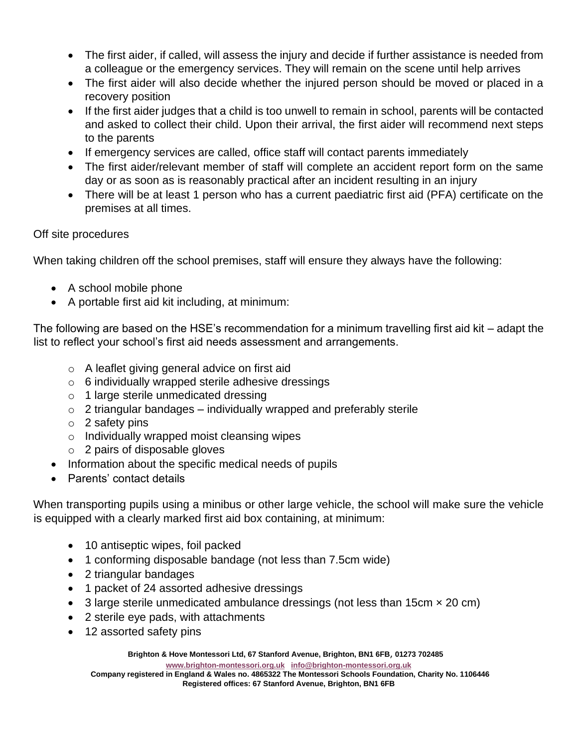- The first aider, if called, will assess the injury and decide if further assistance is needed from a colleague or the emergency services. They will remain on the scene until help arrives
- The first aider will also decide whether the injured person should be moved or placed in a recovery position
- If the first aider judges that a child is too unwell to remain in school, parents will be contacted and asked to collect their child. Upon their arrival, the first aider will recommend next steps to the parents
- If emergency services are called, office staff will contact parents immediately
- The first aider/relevant member of staff will complete an accident report form on the same day or as soon as is reasonably practical after an incident resulting in an injury
- There will be at least 1 person who has a current paediatric first aid (PFA) certificate on the premises at all times.

## Off site procedures

When taking children off the school premises, staff will ensure they always have the following:

- A school mobile phone
- A portable first aid kit including, at minimum:

The following are based on the HSE's recommendation for a minimum travelling first aid kit – adapt the list to reflect your school's first aid needs assessment and arrangements.

- o A leaflet giving general advice on first aid
- $\circ$  6 individually wrapped sterile adhesive dressings
- o 1 large sterile unmedicated dressing
- $\circ$  2 triangular bandages individually wrapped and preferably sterile
- $\circ$  2 safety pins
- o Individually wrapped moist cleansing wipes
- o 2 pairs of disposable gloves
- Information about the specific medical needs of pupils
- Parents' contact details

When transporting pupils using a minibus or other large vehicle, the school will make sure the vehicle is equipped with a clearly marked first aid box containing, at minimum:

- 10 antiseptic wipes, foil packed
- 1 conforming disposable bandage (not less than 7.5cm wide)
- 2 triangular bandages
- 1 packet of 24 assorted adhesive dressings
- 3 large sterile unmedicated ambulance dressings (not less than 15cm  $\times$  20 cm)
- 2 sterile eye pads, with attachments
- 12 assorted safety pins

**Brighton & Hove Montessori Ltd, 67 Stanford Avenue, Brighton, BN1 6FB**, **01273 702485**

**[www.brighton-montessori.org.uk](http://www.brighton-montessori.org.uk/) [info@brighton-montessori.org.uk](mailto:info@brighton-montessori.org.uk)**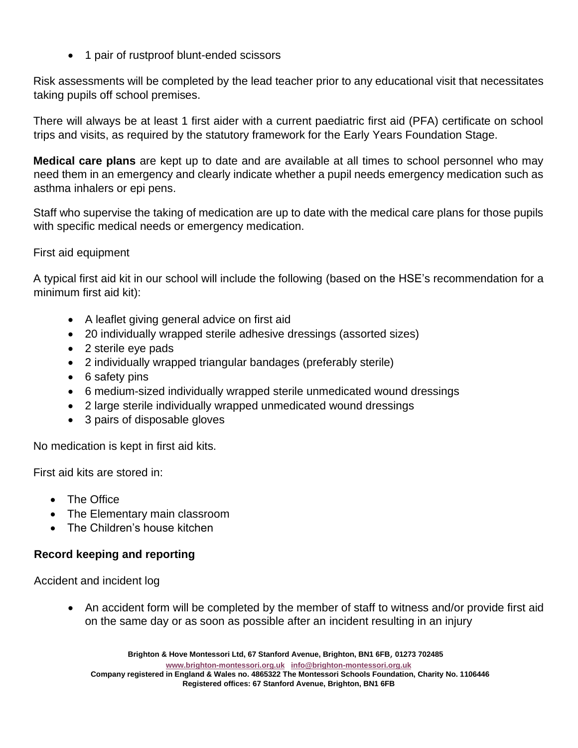• 1 pair of rustproof blunt-ended scissors

Risk assessments will be completed by the lead teacher prior to any educational visit that necessitates taking pupils off school premises.

There will always be at least 1 first aider with a current paediatric first aid (PFA) certificate on school trips and visits, as required by the statutory framework for the Early Years Foundation Stage.

**Medical care plans** are kept up to date and are available at all times to school personnel who may need them in an emergency and clearly indicate whether a pupil needs emergency medication such as asthma inhalers or epi pens.

Staff who supervise the taking of medication are up to date with the medical care plans for those pupils with specific medical needs or emergency medication.

## First aid equipment

A typical first aid kit in our school will include the following (based on the HSE's recommendation for a minimum first aid kit):

- A leaflet giving general advice on first aid
- 20 individually wrapped sterile adhesive dressings (assorted sizes)
- 2 sterile eye pads
- 2 individually wrapped triangular bandages (preferably sterile)
- 6 safety pins
- 6 medium-sized individually wrapped sterile unmedicated wound dressings
- 2 large sterile individually wrapped unmedicated wound dressings
- 3 pairs of disposable gloves

No medication is kept in first aid kits.

First aid kits are stored in:

- The Office
- The Elementary main classroom
- The Children's house kitchen

## **Record keeping and reporting**

Accident and incident log

• An accident form will be completed by the member of staff to witness and/or provide first aid on the same day or as soon as possible after an incident resulting in an injury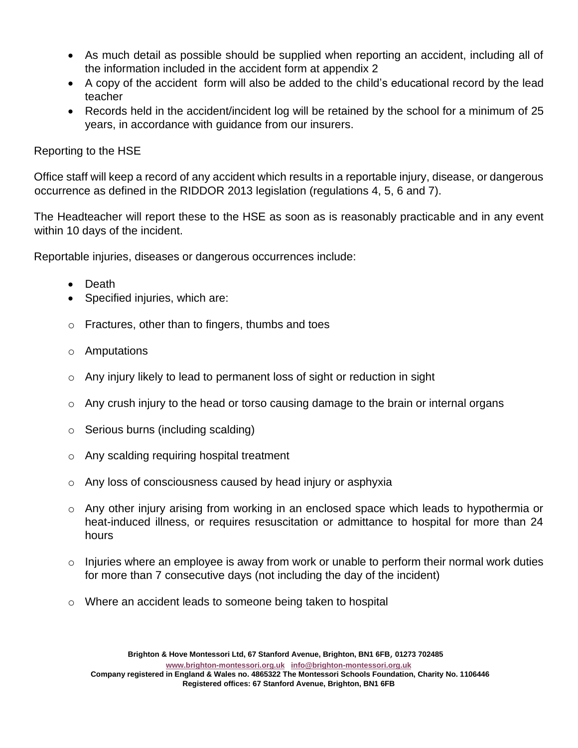- As much detail as possible should be supplied when reporting an accident, including all of the information included in the accident form at appendix 2
- A copy of the accident form will also be added to the child's educational record by the lead teacher
- Records held in the accident/incident log will be retained by the school for a minimum of 25 years, in accordance with guidance from our insurers.

## Reporting to the HSE

Office staff will keep a record of any accident which results in a reportable injury, disease, or dangerous occurrence as defined in the RIDDOR 2013 legislation (regulations 4, 5, 6 and 7).

The Headteacher will report these to the HSE as soon as is reasonably practicable and in any event within 10 days of the incident.

Reportable injuries, diseases or dangerous occurrences include:

- Death
- Specified injuries, which are:
- o Fractures, other than to fingers, thumbs and toes
- o Amputations
- o Any injury likely to lead to permanent loss of sight or reduction in sight
- $\circ$  Any crush injury to the head or torso causing damage to the brain or internal organs
- o Serious burns (including scalding)
- o Any scalding requiring hospital treatment
- o Any loss of consciousness caused by head injury or asphyxia
- $\circ$  Any other injury arising from working in an enclosed space which leads to hypothermia or heat-induced illness, or requires resuscitation or admittance to hospital for more than 24 hours
- $\circ$  Injuries where an employee is away from work or unable to perform their normal work duties for more than 7 consecutive days (not including the day of the incident)
- o Where an accident leads to someone being taken to hospital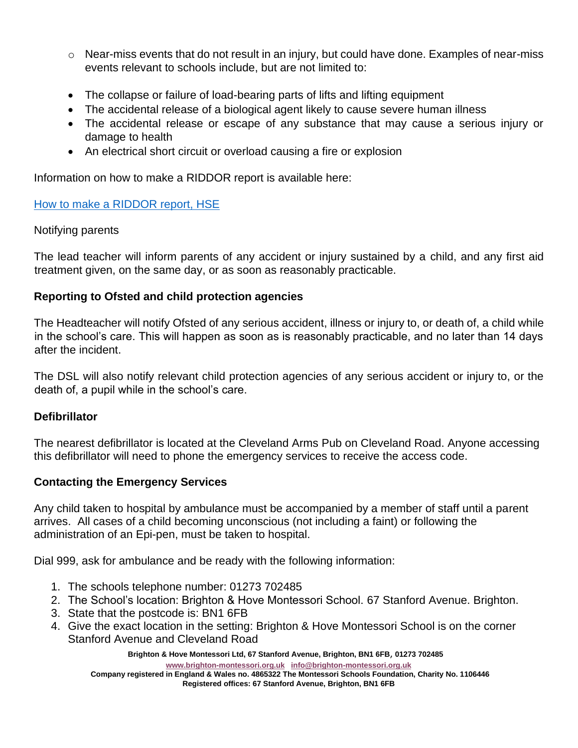- $\circ$  Near-miss events that do not result in an injury, but could have done. Examples of near-miss events relevant to schools include, but are not limited to:
- The collapse or failure of load-bearing parts of lifts and lifting equipment
- The accidental release of a biological agent likely to cause severe human illness
- The accidental release or escape of any substance that may cause a serious injury or damage to health
- An electrical short circuit or overload causing a fire or explosion

Information on how to make a RIDDOR report is available here:

### [How to make a RIDDOR report, HSE](https://www.hse.gov.uk/riddor/report.htm)

### Notifying parents

The lead teacher will inform parents of any accident or injury sustained by a child, and any first aid treatment given, on the same day, or as soon as reasonably practicable.

### **Reporting to Ofsted and child protection agencies**

The Headteacher will notify Ofsted of any serious accident, illness or injury to, or death of, a child while in the school's care. This will happen as soon as is reasonably practicable, and no later than 14 days after the incident.

The DSL will also notify relevant child protection agencies of any serious accident or injury to, or the death of, a pupil while in the school's care.

## **Defibrillator**

The nearest defibrillator is located at the Cleveland Arms Pub on Cleveland Road. Anyone accessing this defibrillator will need to phone the emergency services to receive the access code.

## **Contacting the Emergency Services**

Any child taken to hospital by ambulance must be accompanied by a member of staff until a parent arrives. All cases of a child becoming unconscious (not including a faint) or following the administration of an Epi-pen, must be taken to hospital.

Dial 999, ask for ambulance and be ready with the following information:

- 1. The schools telephone number: 01273 702485
- 2. The School's location: Brighton & Hove Montessori School. 67 Stanford Avenue. Brighton.
- 3. State that the postcode is: BN1 6FB
- 4. Give the exact location in the setting: Brighton & Hove Montessori School is on the corner Stanford Avenue and Cleveland Road

**Brighton & Hove Montessori Ltd, 67 Stanford Avenue, Brighton, BN1 6FB**, **01273 702485**

**[www.brighton-montessori.org.uk](http://www.brighton-montessori.org.uk/) [info@brighton-montessori.org.uk](mailto:info@brighton-montessori.org.uk)**

**Company registered in England & Wales no. 4865322 The Montessori Schools Foundation, Charity No. 1106446 Registered offices: 67 Stanford Avenue, Brighton, BN1 6FB**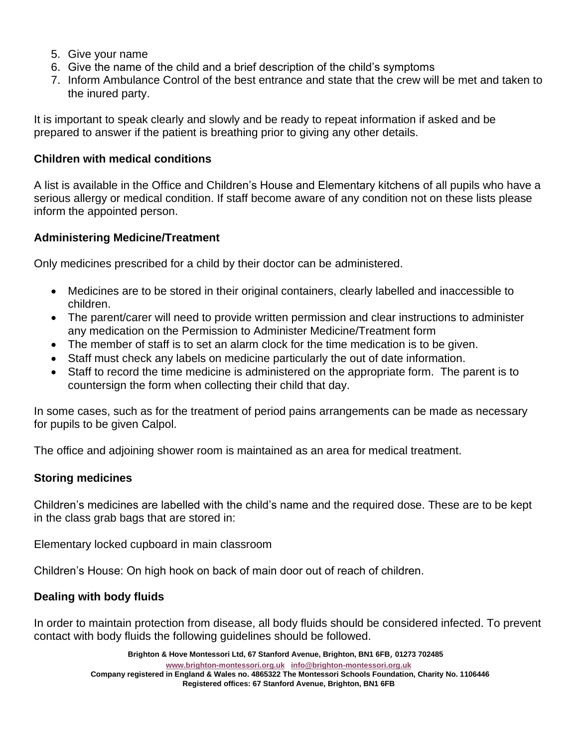- 5. Give your name
- 6. Give the name of the child and a brief description of the child's symptoms
- 7. Inform Ambulance Control of the best entrance and state that the crew will be met and taken to the inured party.

It is important to speak clearly and slowly and be ready to repeat information if asked and be prepared to answer if the patient is breathing prior to giving any other details.

### **Children with medical conditions**

A list is available in the Office and Children's House and Elementary kitchens of all pupils who have a serious allergy or medical condition. If staff become aware of any condition not on these lists please inform the appointed person.

## **Administering Medicine/Treatment**

Only medicines prescribed for a child by their doctor can be administered.

- Medicines are to be stored in their original containers, clearly labelled and inaccessible to children.
- The parent/carer will need to provide written permission and clear instructions to administer any medication on the Permission to Administer Medicine/Treatment form
- The member of staff is to set an alarm clock for the time medication is to be given.
- Staff must check any labels on medicine particularly the out of date information.
- Staff to record the time medicine is administered on the appropriate form. The parent is to countersign the form when collecting their child that day.

In some cases, such as for the treatment of period pains arrangements can be made as necessary for pupils to be given Calpol.

The office and adjoining shower room is maintained as an area for medical treatment.

## **Storing medicines**

Children's medicines are labelled with the child's name and the required dose. These are to be kept in the class grab bags that are stored in:

Elementary locked cupboard in main classroom

Children's House: On high hook on back of main door out of reach of children.

## **Dealing with body fluids**

In order to maintain protection from disease, all body fluids should be considered infected. To prevent contact with body fluids the following guidelines should be followed.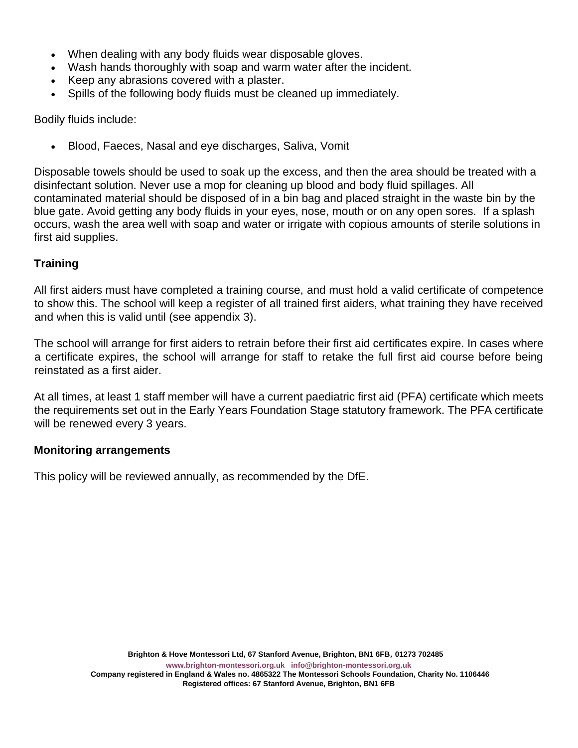- When dealing with any body fluids wear disposable gloves.
- Wash hands thoroughly with soap and warm water after the incident.
- Keep any abrasions covered with a plaster.
- Spills of the following body fluids must be cleaned up immediately.

Bodily fluids include:

• Blood, Faeces, Nasal and eye discharges, Saliva, Vomit

Disposable towels should be used to soak up the excess, and then the area should be treated with a disinfectant solution. Never use a mop for cleaning up blood and body fluid spillages. All contaminated material should be disposed of in a bin bag and placed straight in the waste bin by the blue gate. Avoid getting any body fluids in your eyes, nose, mouth or on any open sores. If a splash occurs, wash the area well with soap and water or irrigate with copious amounts of sterile solutions in first aid supplies.

## **Training**

All first aiders must have completed a training course, and must hold a valid certificate of competence to show this. The school will keep a register of all trained first aiders, what training they have received and when this is valid until (see appendix 3).

The school will arrange for first aiders to retrain before their first aid certificates expire. In cases where a certificate expires, the school will arrange for staff to retake the full first aid course before being reinstated as a first aider.

At all times, at least 1 staff member will have a current paediatric first aid (PFA) certificate which meets the requirements set out in the Early Years Foundation Stage statutory framework. The PFA certificate will be renewed every 3 years.

#### **Monitoring arrangements**

This policy will be reviewed annually, as recommended by the DfE.